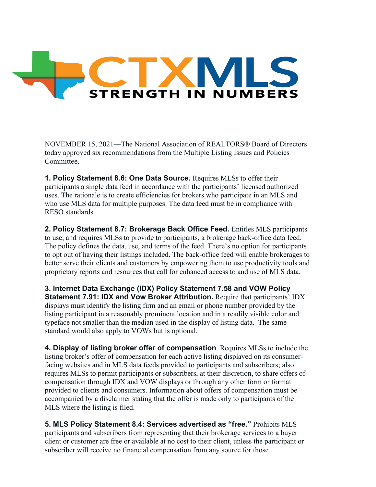

NOVEMBER 15, 2021—The National Association of REALTORS® Board of Directors today approved six recommendations from the Multiple Listing Issues and Policies Committee.

**1. Policy Statement 8.6: One Data Source.** Requires MLSs to offer their participants a single data feed in accordance with the participants' licensed authorized uses. The rationale is to create efficiencies for brokers who participate in an MLS and who use MLS data for multiple purposes. The data feed must be in compliance with RESO standards.

**2. Policy Statement 8.7: Brokerage Back Office Feed.** Entitles MLS participants to use, and requires MLSs to provide to participants, a brokerage back-office data feed. The policy defines the data, use, and terms of the feed. There's no option for participants to opt out of having their listings included. The back-office feed will enable brokerages to better serve their clients and customers by empowering them to use productivity tools and proprietary reports and resources that call for enhanced access to and use of MLS data.

**3. Internet Data Exchange (IDX) Policy Statement 7.58 and VOW Policy Statement 7.91: IDX and Vow Broker Attribution.** Require that participants' IDX displays must identify the listing firm and an email or phone number provided by the listing participant in a reasonably prominent location and in a readily visible color and typeface not smaller than the median used in the display of listing data. The same standard would also apply to VOWs but is optional.

**4. Display of listing broker offer of compensation**. Requires MLSs to include the listing broker's offer of compensation for each active listing displayed on its consumerfacing websites and in MLS data feeds provided to participants and subscribers; also requires MLSs to permit participants or subscribers, at their discretion, to share offers of compensation through IDX and VOW displays or through any other form or format provided to clients and consumers. Information about offers of compensation must be accompanied by a disclaimer stating that the offer is made only to participants of the MLS where the listing is filed.

**5. MLS Policy Statement 8.4: Services advertised as "free."** Prohibits MLS participants and subscribers from representing that their brokerage services to a buyer client or customer are free or available at no cost to their client, unless the participant or subscriber will receive no financial compensation from any source for those